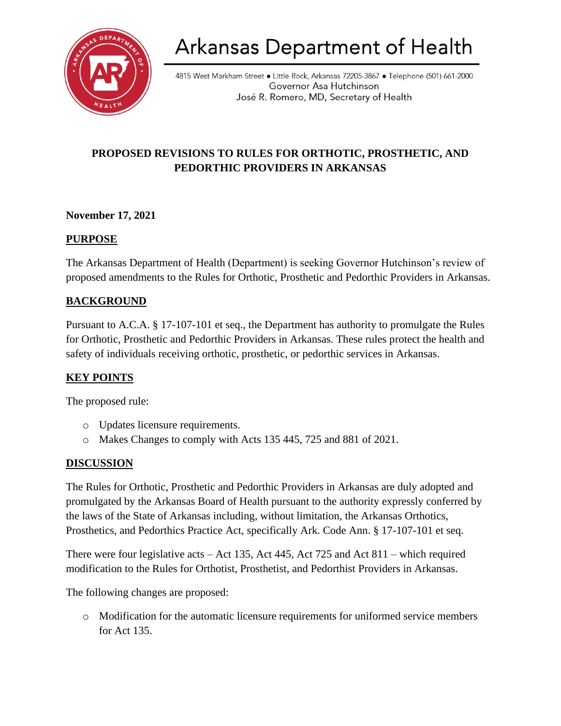

# Arkansas Department of Health

4815 West Markham Street • Little Rock, Arkansas 72205-3867 • Telephone (501) 661-2000 Governor Asa Hutchinson José R. Romero, MD, Secretary of Health

## **PROPOSED REVISIONS TO RULES FOR ORTHOTIC, PROSTHETIC, AND PEDORTHIC PROVIDERS IN ARKANSAS**

#### **November 17, 2021**

#### **PURPOSE**

The Arkansas Department of Health (Department) is seeking Governor Hutchinson's review of proposed amendments to the Rules for Orthotic, Prosthetic and Pedorthic Providers in Arkansas.

## **BACKGROUND**

Pursuant to A.C.A. § 17-107-101 et seq., the Department has authority to promulgate the Rules for Orthotic, Prosthetic and Pedorthic Providers in Arkansas. These rules protect the health and safety of individuals receiving orthotic, prosthetic, or pedorthic services in Arkansas.

## **KEY POINTS**

The proposed rule:

- o Updates licensure requirements.
- o Makes Changes to comply with Acts 135 445, 725 and 881 of 2021.

#### **DISCUSSION**

The Rules for Orthotic, Prosthetic and Pedorthic Providers in Arkansas are duly adopted and promulgated by the Arkansas Board of Health pursuant to the authority expressly conferred by the laws of the State of Arkansas including, without limitation, the Arkansas Orthotics, Prosthetics, and Pedorthics Practice Act, specifically Ark. Code Ann. § 17-107-101 et seq.

There were four legislative acts – Act 135, Act 445, Act 725 and Act 811 – which required modification to the Rules for Orthotist, Prosthetist, and Pedorthist Providers in Arkansas.

The following changes are proposed:

o Modification for the automatic licensure requirements for uniformed service members for Act 135.